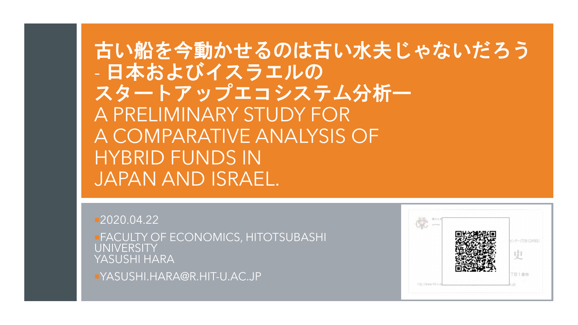## 古い船を今動かせるのは古い水夫じゃないだろう - 日本およびイスラエルの スタートアップエコシステム分析ー A PRELIMINARY STUDY FOR A COMPARATIVE ANALYSIS OF HYBRID FUNDS IN JAPAN AND ISRAEL.

**2020.04.22 FACULTY OF ECONOMICS, HITOTSUBASHI UNIVERSITY** YASUSHI HARA

YASUSHI.HARA@R.HIT-U.AC.JP

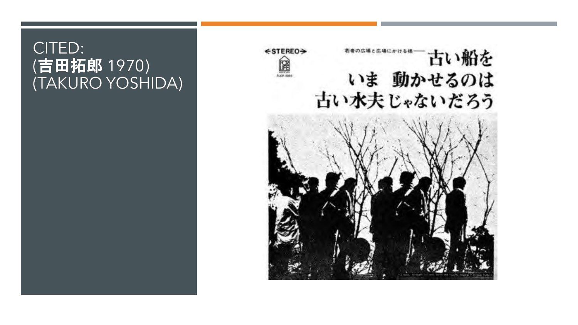#### CITED: (吉田拓郎 1970) (TAKURO YOSHIDA)

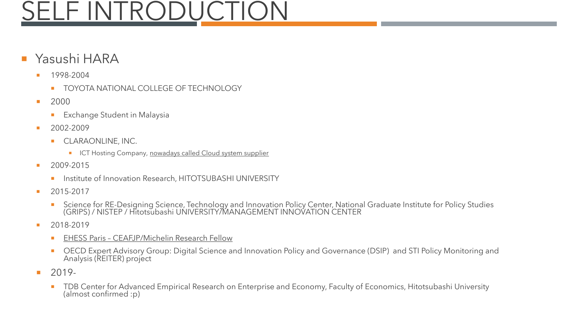# **SELF INTRODUCTION**

#### Yasushi HARA

- **1998-2004** 
	- **TOYOTA NATIONAL COLLEGE OF TECHNOLOGY**
- 2000
	- **Exchange Student in Malaysia**
- $2002 2009$ 
	- **CLARAONLINE, INC.** 
		- **ICT Hosting Company, nowadays called Cloud system supplier**
- 2009-2015
	- **Institute of Innovation Research, HITOTSUBASHI UNIVERSITY**
- 2015-2017
	- Science for RE-Designing Science, Technology and Innovation Policy Center, National Graduate Institute for Policy Studies (GRIPS) / NISTEP / Hitotsubashi UNIVERSITY/MANAGEMENT INNOVATION CENTER
- 2018-2019
	- **EHESS Paris CEAFJP/Michelin Research Fellow**
	- OECD Expert Advisory Group: Digital Science and Innovation Policy and Governance (DSIP) and STI Policy Monitoring and Analysis (REITER) project
- $-2019-$ 
	- TDB Center for Advanced Empirical Research on Enterprise and Economy, Faculty of Economics, Hitotsubashi University (almost confirmed :p)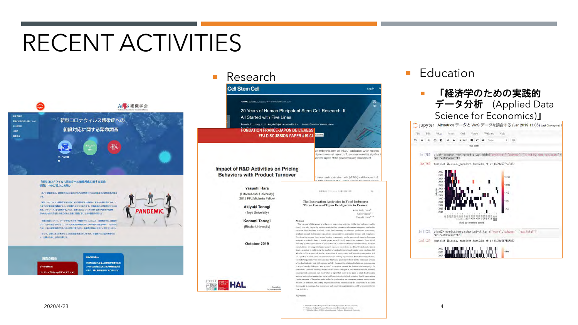# RECENT ACTIVITIES



#### 「新型コロナウイルス感染症への組織対応に関する緊急 調査」へのご協力のお願い

もども解説学会は、経営学を中心に約2,000名の研究者からなる日本産大の経営学系の学会  $78.$ 

新型コロナウイルス基準型 (COVID-19) の基準拡大が世界的に基大な影響を及ぼす中、こ れまでの企業活動や調節することが相談となりつつあります。労働環境および業務プロセスの **また、テレワーク/水学設置の導入など、急激に変化しつつある日本企業の規制を行動研** (Profidure株式会社)との協力のもと困難に把握することが本説数の目的です。

企業の意状について、データを用いた分析・検証を行うことにより、即時性を持った提案を 行うことが可能となります。こうした成果が目明性を持った政策提案や経営改革につながるな らば、これは経営学徒がやるべき大切な仕事であり、本調査の意義は大きいと考えています。

そこで、皆様にはご多忙のところ大変お客ではございますが、本面売へのご協力を得りた く、お願いを申し上げる次第です。

調査の概要 データ電源方法 -ジトップのSurveyボタン

**SENDING DELL** ■横に含まれる個人の情報の管理を行な SProFuture株式会社は做人情報保護方針 に関り、個人情報を確切に取り扱います。



**Research Education** 







October 2019

that initiative. **Keywords:** 

 $2020/4/23$ 

industry by three case studies of value creation in order to observe "transboundary" hetween stakeholders, by using the framework of business rensystem: (a.) Picard which sells frozen

foods succeeded in cultivating the market by vertical integration to make value creation... (b.) Marche in Paris operated by the cooperation of government and operating companies., (c.) BIO product market based on consumer needs seeking organic food. From these case studies

the following points were revealed (a.) There is a path-dependency in the formation process

of the food industry and its business, and (b.) Because the relationship between stakeholders is significantly different, the optimal ecosystem cannot be determined uniquely. In

conclusion, the find industry where discontinuous changes in the market and the external

avironment can becar, our study shed a light that there is no need to stick to strategies such as optimizing transaction costs and lowering price in food industry. And it emphasizes the importance of fostering social value by performing un emergent process among stake halders. In addition, the entity responsible for the formation of the vessystem is not only

necessarily a company, but consumers and nonprofit organizations could be responsible for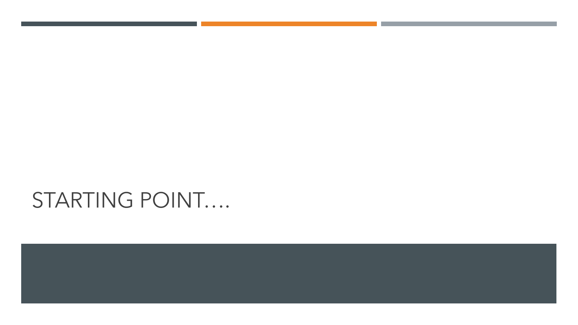# STARTING POINT....

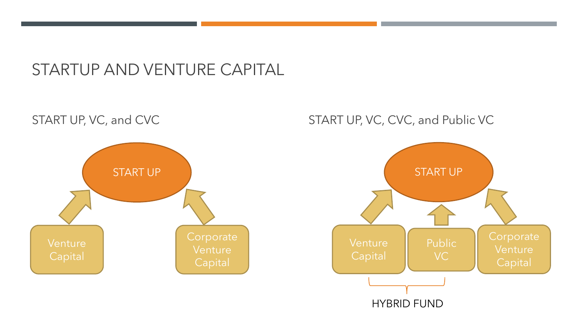#### STARTUP AND VENTURE CAPITAL

# START UP Venture Capital **Corporate** Venture **Capital**

#### START UP, VC, and CVC START UP, VC, CVC, and Public VC

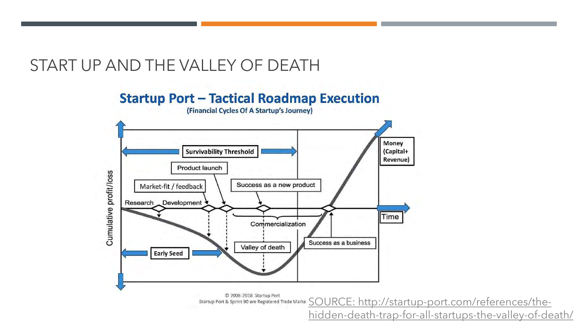#### START UP AND THE VALLEY OF DEATH

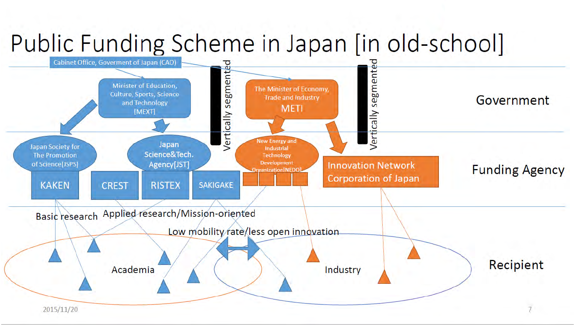# Public Funding Scheme in Japan [in old-school]

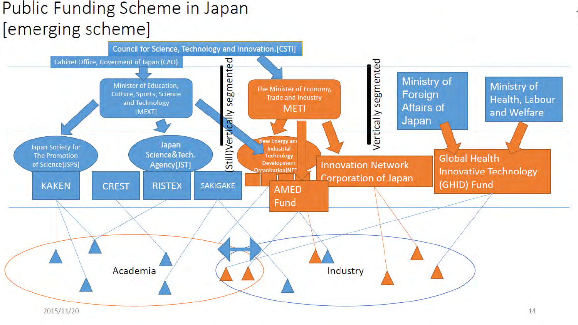### Public Funding Scheme in Japan [emerging scheme]

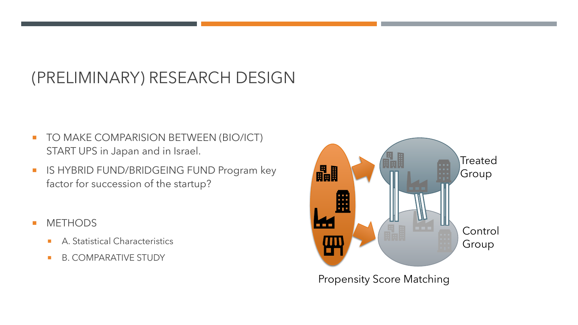#### (PRELIMINARY) RESEARCH DESIGN

- **TO MAKE COMPARISION BETWEEN (BIO/ICT)** START UPS in Japan and in Israel.
- **IS HYBRID FUND/BRIDGEING FUND Program key** factor for succession of the startup?
- **METHODS** 
	- A. Statistical Characteristics
	- B. COMPARATIVE STUDY



Propensity Score Matching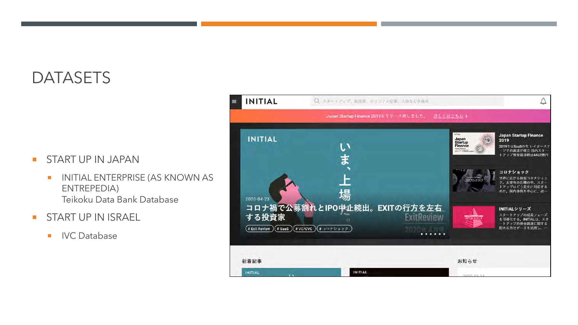#### **DATASETS**

#### **START UP IN JAPAN**

- **INITIAL ENTERPRISE (AS KNOWN AS** ENTREPEDIA) Teikoku Data Bank Database
- **START UP IN ISRAEL** 
	- **IVC** Database

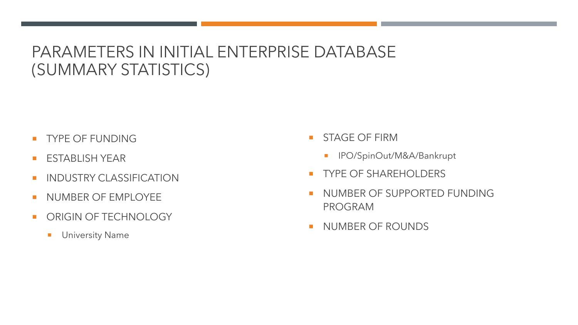#### PARAMETERS IN INITIAL ENTERPRISE DATABASE (SUMMARY STATISTICS)

- **TYPE OF FUNDING**
- **ESTABLISH YEAR**
- **INDUSTRY CLASSIFICATION**
- NUMBER OF EMPLOYEE
- **DE ORIGIN OF TECHNOLOGY** 
	- **University Name**
- **STAGE OF FIRM** 
	- **I** IPO/SpinOut/M&A/Bankrupt
- **TYPE OF SHAREHOLDERS**
- NUMBER OF SUPPORTED FUNDING PROGRAM
- NUMBER OF ROUNDS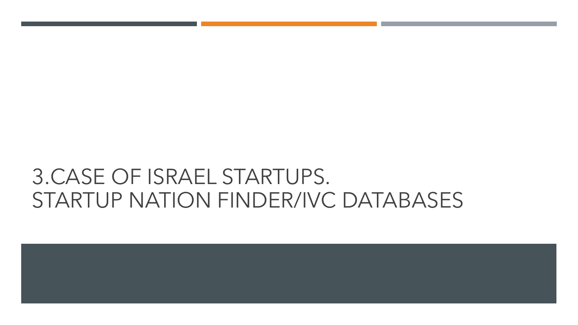# 3.CASE OF ISRAEL STARTUPS. STARTUP NATION FINDER/IVC DATABASES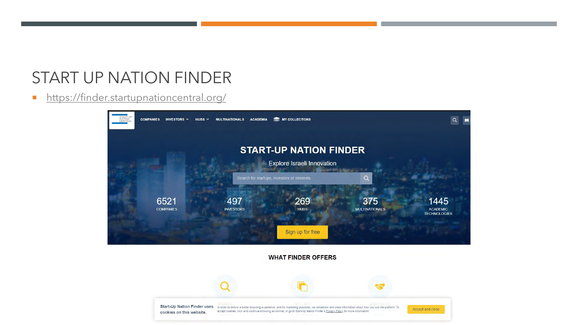#### START UP NATION FINDER

**<https://finder.startupnationcentral.org/>** 



**WHAT FINDER OFFERS** 

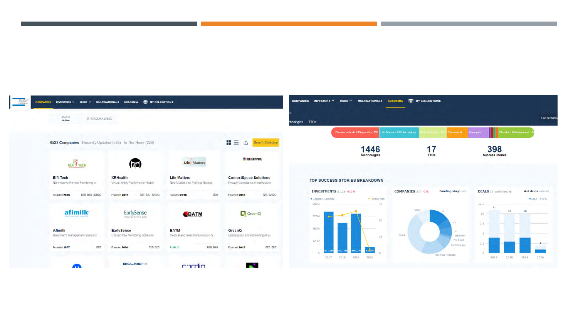



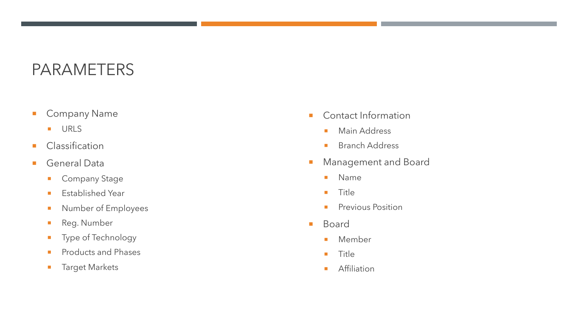#### PARAMETERS

- **Company Name** 
	- **URLS**
- **Classification**
- General Data
	- **Company Stage**
	- **Established Year**
	- **Number of Employees**
	- Reg. Number
	- **Type of Technology**
	- **Products and Phases**
	- **Target Markets**
- Contact Information
	- **Main Address**
	- **Branch Address**
- **Management and Board** 
	- **Name**
	- $Tite$
	- **Previous Position**
- **Board** 
	- **Member**
	- **Title**
	- **Affiliation**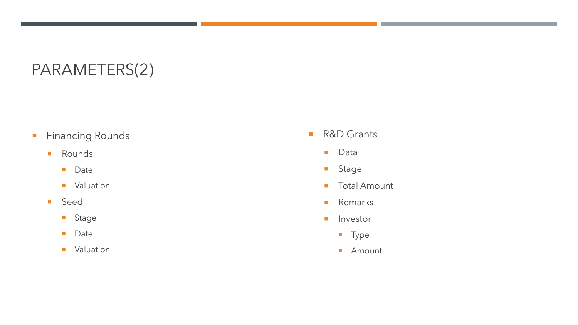#### PARAMETERS(2)

- **Financing Rounds** 
	- **Rounds** 
		- **Date**
		- **valuation**
	- **Seed** 
		- **Stage**
		- **Date**
		- **valuation**
- R&D Grants
	- Data
	- **Stage**
	- **Total Amount**
	- **Remarks**
	- **I**nvestor
		- **Type**
		- **Amount**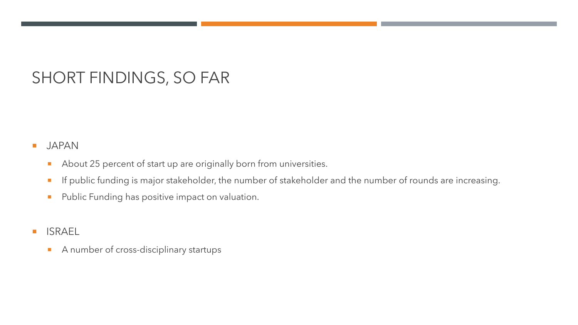#### SHORT FINDINGS, SO FAR

#### **JAPAN**

- About 25 percent of start up are originally born from universities.
- If public funding is major stakeholder, the number of stakeholder and the number of rounds are increasing.
- **Public Funding has positive impact on valuation.**
- **ISRAEL** 
	- A number of cross-disciplinary startups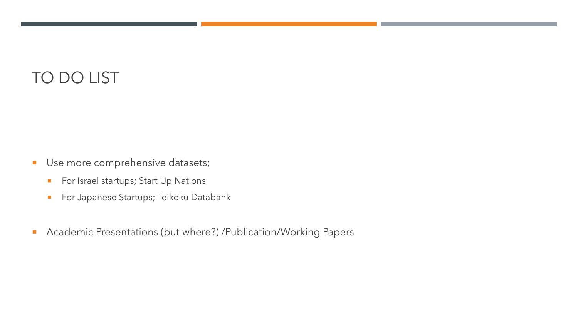### TO DO LIST

- **Use more comprehensive datasets;** 
	- **For Israel startups; Start Up Nations**
	- **For Japanese Startups; Teikoku Databank**
- **Academic Presentations (but where?) /Publication/Working Papers**